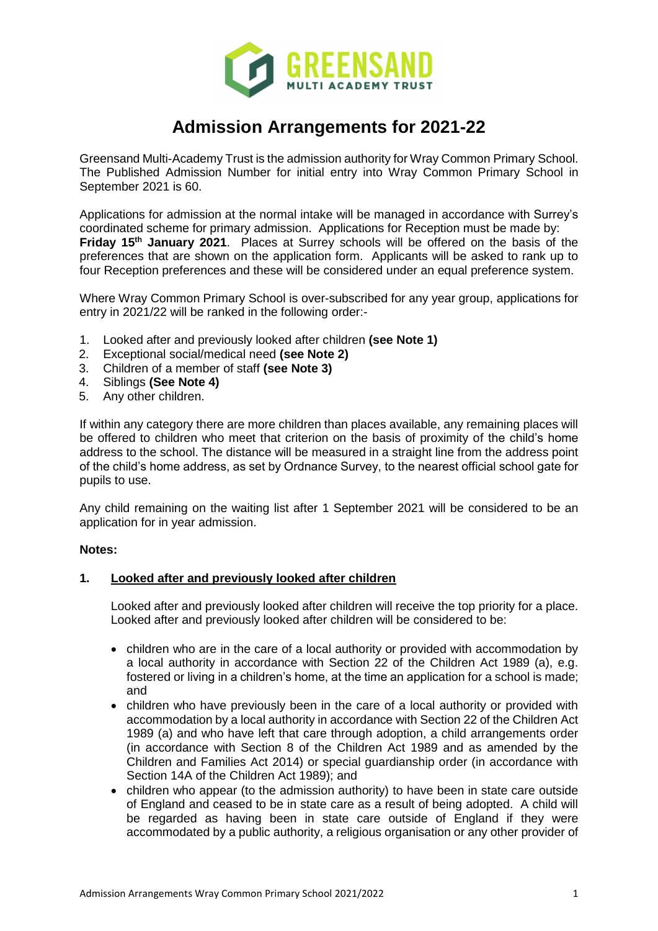

# **Admission Arrangements for 2021-22**

Greensand Multi-Academy Trust is the admission authority for Wray Common Primary School. The Published Admission Number for initial entry into Wray Common Primary School in September 2021 is 60.

Applications for admission at the normal intake will be managed in accordance with Surrey's coordinated scheme for primary admission. Applications for Reception must be made by: **Friday 15th January 2021**. Places at Surrey schools will be offered on the basis of the preferences that are shown on the application form. Applicants will be asked to rank up to four Reception preferences and these will be considered under an equal preference system.

Where Wray Common Primary School is over-subscribed for any year group, applications for entry in 2021/22 will be ranked in the following order:-

- 1. Looked after and previously looked after children **(see Note 1)**
- 2. Exceptional social/medical need **(see Note 2)**
- 3. Children of a member of staff **(see Note 3)**
- 4. Siblings **(See Note 4)**
- 5. Any other children.

If within any category there are more children than places available, any remaining places will be offered to children who meet that criterion on the basis of proximity of the child's home address to the school. The distance will be measured in a straight line from the address point of the child's home address, as set by Ordnance Survey, to the nearest official school gate for pupils to use.

Any child remaining on the waiting list after 1 September 2021 will be considered to be an application for in year admission.

#### **Notes:**

# **1. Looked after and previously looked after children**

Looked after and previously looked after children will receive the top priority for a place. Looked after and previously looked after children will be considered to be:

- children who are in the care of a local authority or provided with accommodation by a local authority in accordance with Section 22 of the Children Act 1989 (a), e.g. fostered or living in a children's home, at the time an application for a school is made; and
- children who have previously been in the care of a local authority or provided with accommodation by a local authority in accordance with Section 22 of the Children Act 1989 (a) and who have left that care through adoption, a child arrangements order (in accordance with Section 8 of the Children Act 1989 and as amended by the Children and Families Act 2014) or special guardianship order (in accordance with Section 14A of the Children Act 1989); and
- children who appear (to the admission authority) to have been in state care outside of England and ceased to be in state care as a result of being adopted. A child will be regarded as having been in state care outside of England if they were accommodated by a public authority, a religious organisation or any other provider of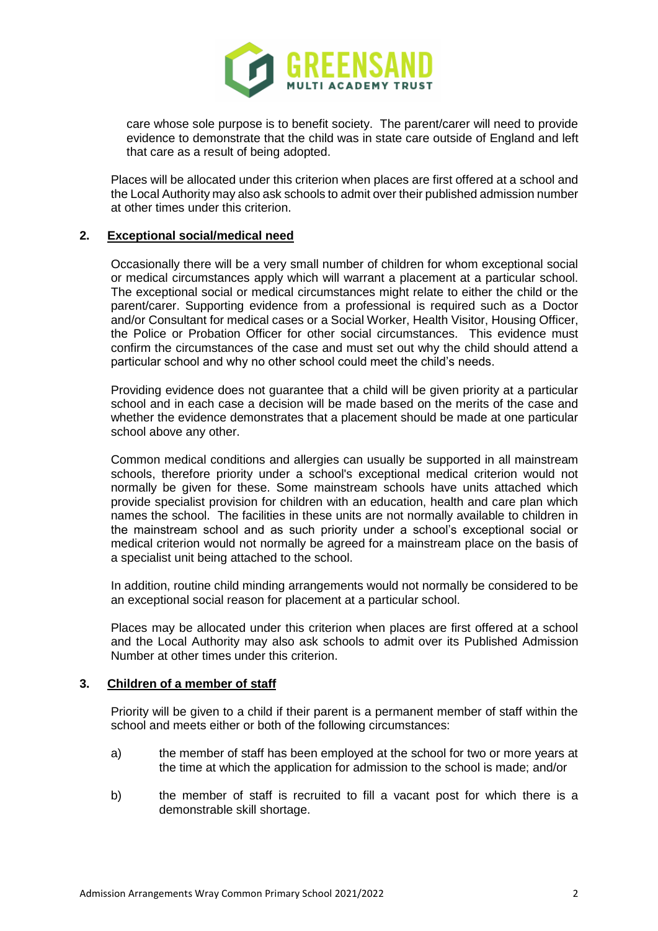

care whose sole purpose is to benefit society. The parent/carer will need to provide evidence to demonstrate that the child was in state care outside of England and left that care as a result of being adopted.

Places will be allocated under this criterion when places are first offered at a school and the Local Authority may also ask schools to admit over their published admission number at other times under this criterion.

## **2. Exceptional social/medical need**

Occasionally there will be a very small number of children for whom exceptional social or medical circumstances apply which will warrant a placement at a particular school. The exceptional social or medical circumstances might relate to either the child or the parent/carer. Supporting evidence from a professional is required such as a Doctor and/or Consultant for medical cases or a Social Worker, Health Visitor, Housing Officer, the Police or Probation Officer for other social circumstances. This evidence must confirm the circumstances of the case and must set out why the child should attend a particular school and why no other school could meet the child's needs.

Providing evidence does not guarantee that a child will be given priority at a particular school and in each case a decision will be made based on the merits of the case and whether the evidence demonstrates that a placement should be made at one particular school above any other.

Common medical conditions and allergies can usually be supported in all mainstream schools, therefore priority under a school's exceptional medical criterion would not normally be given for these. Some mainstream schools have units attached which provide specialist provision for children with an education, health and care plan which names the school. The facilities in these units are not normally available to children in the mainstream school and as such priority under a school's exceptional social or medical criterion would not normally be agreed for a mainstream place on the basis of a specialist unit being attached to the school.

In addition, routine child minding arrangements would not normally be considered to be an exceptional social reason for placement at a particular school.

Places may be allocated under this criterion when places are first offered at a school and the Local Authority may also ask schools to admit over its Published Admission Number at other times under this criterion.

## **3. Children of a member of staff**

Priority will be given to a child if their parent is a permanent member of staff within the school and meets either or both of the following circumstances:

- a) the member of staff has been employed at the school for two or more years at the time at which the application for admission to the school is made; and/or
- b) the member of staff is recruited to fill a vacant post for which there is a demonstrable skill shortage.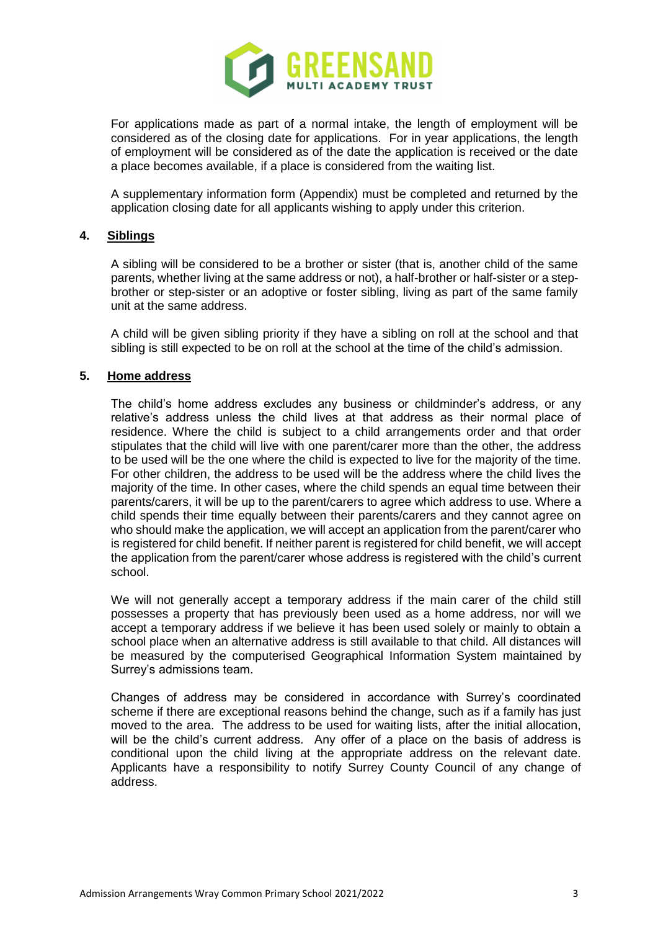

For applications made as part of a normal intake, the length of employment will be considered as of the closing date for applications. For in year applications, the length of employment will be considered as of the date the application is received or the date a place becomes available, if a place is considered from the waiting list.

A supplementary information form (Appendix) must be completed and returned by the application closing date for all applicants wishing to apply under this criterion.

## **4. Siblings**

A sibling will be considered to be a brother or sister (that is, another child of the same parents, whether living at the same address or not), a half-brother or half-sister or a stepbrother or step-sister or an adoptive or foster sibling, living as part of the same family unit at the same address.

A child will be given sibling priority if they have a sibling on roll at the school and that sibling is still expected to be on roll at the school at the time of the child's admission.

## **5. Home address**

The child's home address excludes any business or childminder's address, or any relative's address unless the child lives at that address as their normal place of residence. Where the child is subject to a child arrangements order and that order stipulates that the child will live with one parent/carer more than the other, the address to be used will be the one where the child is expected to live for the majority of the time. For other children, the address to be used will be the address where the child lives the majority of the time. In other cases, where the child spends an equal time between their parents/carers, it will be up to the parent/carers to agree which address to use. Where a child spends their time equally between their parents/carers and they cannot agree on who should make the application, we will accept an application from the parent/carer who is registered for child benefit. If neither parent is registered for child benefit, we will accept the application from the parent/carer whose address is registered with the child's current school.

We will not generally accept a temporary address if the main carer of the child still possesses a property that has previously been used as a home address, nor will we accept a temporary address if we believe it has been used solely or mainly to obtain a school place when an alternative address is still available to that child. All distances will be measured by the computerised Geographical Information System maintained by Surrey's admissions team.

Changes of address may be considered in accordance with Surrey's coordinated scheme if there are exceptional reasons behind the change, such as if a family has just moved to the area. The address to be used for waiting lists, after the initial allocation, will be the child's current address. Any offer of a place on the basis of address is conditional upon the child living at the appropriate address on the relevant date. Applicants have a responsibility to notify Surrey County Council of any change of address.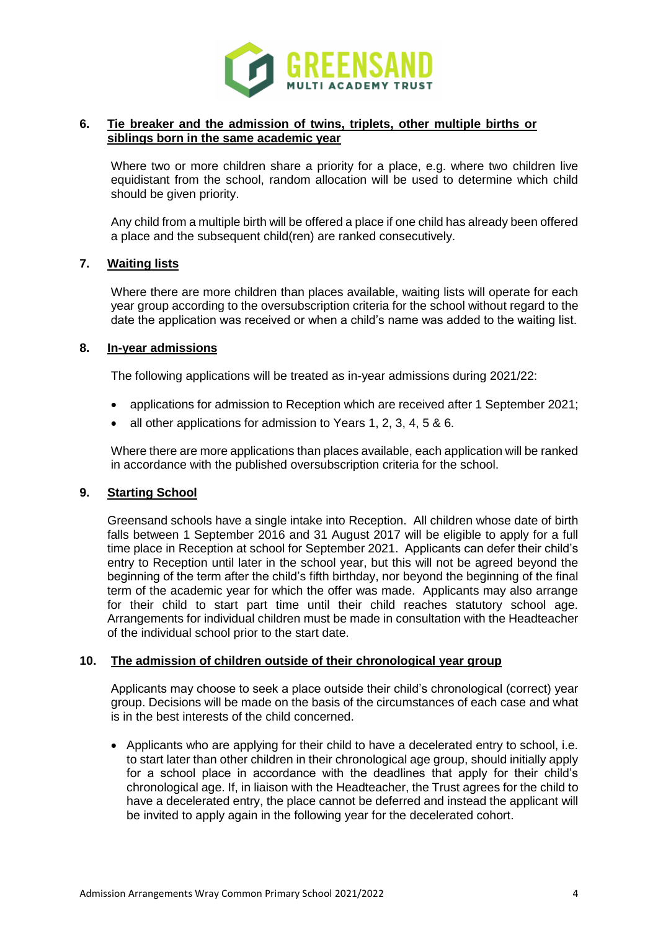

## **6. Tie breaker and the admission of twins, triplets, other multiple births or siblings born in the same academic year**

Where two or more children share a priority for a place, e.g. where two children live equidistant from the school, random allocation will be used to determine which child should be given priority.

Any child from a multiple birth will be offered a place if one child has already been offered a place and the subsequent child(ren) are ranked consecutively.

## **7. Waiting lists**

Where there are more children than places available, waiting lists will operate for each year group according to the oversubscription criteria for the school without regard to the date the application was received or when a child's name was added to the waiting list.

## **8. In-year admissions**

The following applications will be treated as in-year admissions during 2021/22:

- applications for admission to Reception which are received after 1 September 2021;
- all other applications for admission to Years 1, 2, 3, 4, 5 & 6.

Where there are more applications than places available, each application will be ranked in accordance with the published oversubscription criteria for the school.

# **9. Starting School**

Greensand schools have a single intake into Reception. All children whose date of birth falls between 1 September 2016 and 31 August 2017 will be eligible to apply for a full time place in Reception at school for September 2021. Applicants can defer their child's entry to Reception until later in the school year, but this will not be agreed beyond the beginning of the term after the child's fifth birthday, nor beyond the beginning of the final term of the academic year for which the offer was made. Applicants may also arrange for their child to start part time until their child reaches statutory school age. Arrangements for individual children must be made in consultation with the Headteacher of the individual school prior to the start date.

#### **10. The admission of children outside of their chronological year group**

Applicants may choose to seek a place outside their child's chronological (correct) year group. Decisions will be made on the basis of the circumstances of each case and what is in the best interests of the child concerned.

 Applicants who are applying for their child to have a decelerated entry to school, i.e. to start later than other children in their chronological age group, should initially apply for a school place in accordance with the deadlines that apply for their child's chronological age. If, in liaison with the Headteacher, the Trust agrees for the child to have a decelerated entry, the place cannot be deferred and instead the applicant will be invited to apply again in the following year for the decelerated cohort.